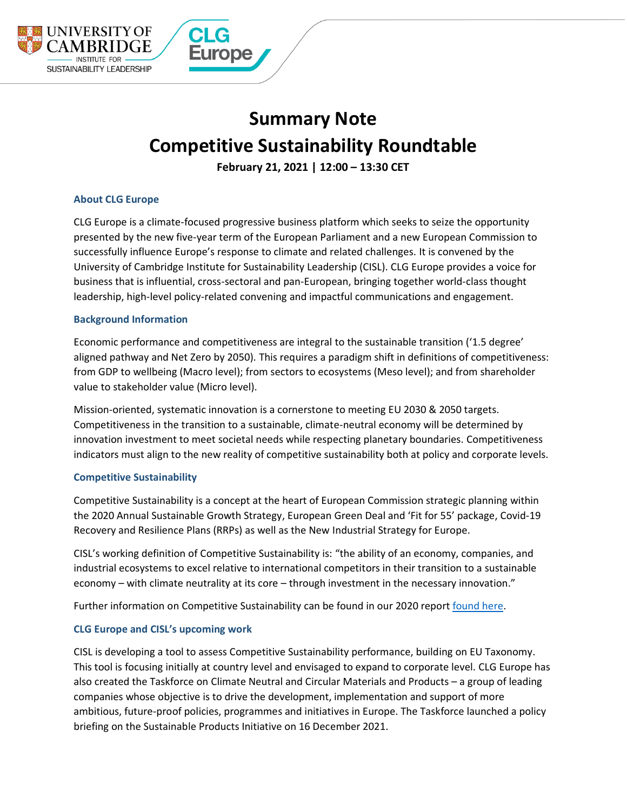

# **Summary Note Competitive Sustainability Roundtable**

**February 21, 2021 | 12:00 – 13:30 CET**

# **About CLG Europe**

CLG Europe is a climate-focused progressive business platform which seeks to seize the opportunity presented by the new five-year term of the European Parliament and a new European Commission to successfully influence Europe's response to climate and related challenges. It is convened by the University of Cambridge Institute for Sustainability Leadership (CISL). CLG Europe provides a voice for business that is influential, cross-sectoral and pan-European, bringing together world-class thought leadership, high-level policy-related convening and impactful communications and engagement.

## **Background Information**

Economic performance and competitiveness are integral to the sustainable transition ('1.5 degree' aligned pathway and Net Zero by 2050). This requires a paradigm shift in definitions of competitiveness: from GDP to wellbeing (Macro level); from sectors to ecosystems (Meso level); and from shareholder value to stakeholder value (Micro level).

Mission-oriented, systematic innovation is a cornerstone to meeting EU 2030 & 2050 targets. Competitiveness in the transition to a sustainable, climate-neutral economy will be determined by innovation investment to meet societal needs while respecting planetary boundaries. Competitiveness indicators must align to the new reality of competitive sustainability both at policy and corporate levels.

## **Competitive Sustainability**

Competitive Sustainability is a concept at the heart of European Commission strategic planning within the 2020 Annual Sustainable Growth Strategy, European Green Deal and 'Fit for 55' package, Covid-19 Recovery and Resilience Plans (RRPs) as well as the New Industrial Strategy for Europe.

CISL's working definition of Competitive Sustainability is: "the ability of an economy, companies, and industrial ecosystems to excel relative to international competitors in their transition to a sustainable economy – with climate neutrality at its core – through investment in the necessary innovation."

Further information on Competitive Sustainability can be found in our 2020 report [found here.](https://www.cisl.cam.ac.uk/resources/low-carbon-transformation-publications/developing-the-eus-competitive-sustainability-for-a-resilient-recovery-and-dynamic-growth)

# **CLG Europe and CISL's upcoming work**

CISL is developing a tool to assess Competitive Sustainability performance, building on EU Taxonomy. This tool is focusing initially at country level and envisaged to expand to corporate level. CLG Europe has also created the Taskforce on Climate Neutral and Circular Materials and Products – a group of leading companies whose objective is to drive the development, implementation and support of more ambitious, future-proof policies, programmes and initiatives in Europe. The Taskforce launched a policy briefing on the Sustainable Products Initiative on 16 December 2021.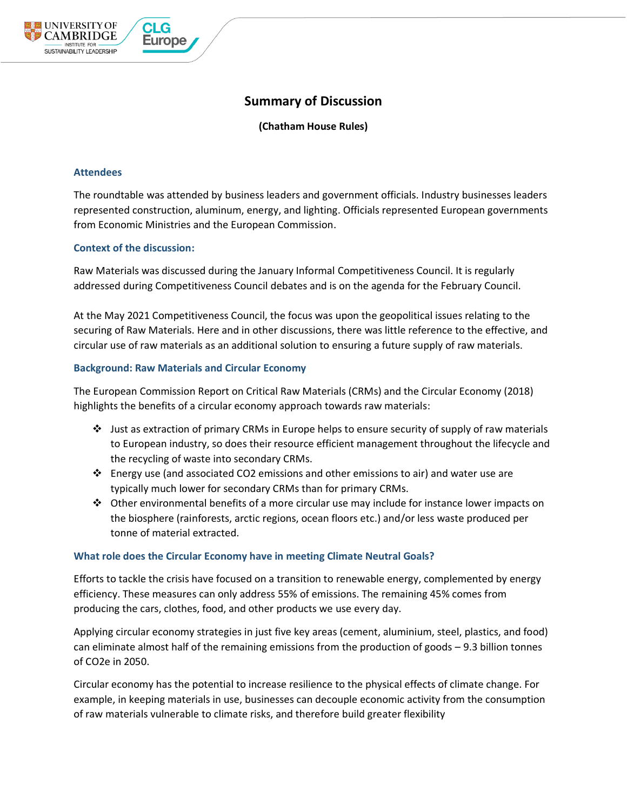# **Summary of Discussion**

**(Chatham House Rules)**

# **Attendees**

UNIVERSITY OF **EAMBRIDGE** 

SUSTAINABILITY LEADERSHIP

The roundtable was attended by business leaders and government officials. Industry businesses leaders represented construction, aluminum, energy, and lighting. Officials represented European governments from Economic Ministries and the European Commission.

# **Context of the discussion:**

**Europe** 

Raw Materials was discussed during the January Informal Competitiveness Council. It is regularly addressed during Competitiveness Council debates and is on the agenda for the February Council.

At the May 2021 Competitiveness Council, the focus was upon the geopolitical issues relating to the securing of Raw Materials. Here and in other discussions, there was little reference to the effective, and circular use of raw materials as an additional solution to ensuring a future supply of raw materials.

# **Background: Raw Materials and Circular Economy**

The European Commission Report on Critical Raw Materials (CRMs) and the Circular Economy (2018) highlights the benefits of a circular economy approach towards raw materials:

- ❖ Just as extraction of primary CRMs in Europe helps to ensure security of supply of raw materials to European industry, so does their resource efficient management throughout the lifecycle and the recycling of waste into secondary CRMs.
- ❖ Energy use (and associated CO2 emissions and other emissions to air) and water use are typically much lower for secondary CRMs than for primary CRMs.
- ◆ Other environmental benefits of a more circular use may include for instance lower impacts on the biosphere (rainforests, arctic regions, ocean floors etc.) and/or less waste produced per tonne of material extracted.

## **What role does the Circular Economy have in meeting Climate Neutral Goals?**

Efforts to tackle the crisis have focused on a transition to renewable energy, complemented by energy efficiency. These measures can only address 55% of emissions. The remaining 45% comes from producing the cars, clothes, food, and other products we use every day.

Applying circular economy strategies in just five key areas (cement, aluminium, steel, plastics, and food) can eliminate almost half of the remaining emissions from the production of goods – 9.3 billion tonnes of CO2e in 2050.

Circular economy has the potential to increase resilience to the physical effects of climate change. For example, in keeping materials in use, businesses can decouple economic activity from the consumption of raw materials vulnerable to climate risks, and therefore build greater flexibility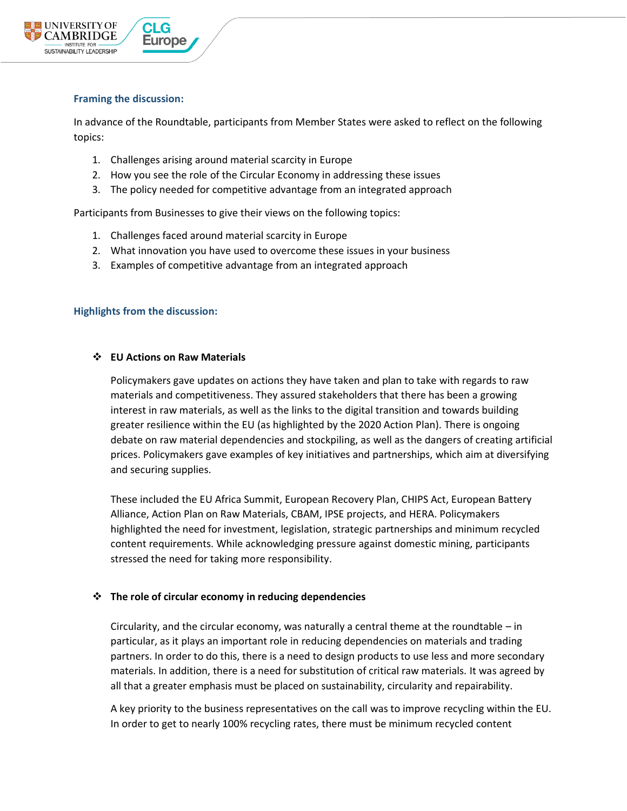

## **Framing the discussion:**

In advance of the Roundtable, participants from Member States were asked to reflect on the following topics:

- 1. Challenges arising around material scarcity in Europe
- 2. How you see the role of the Circular Economy in addressing these issues
- 3. The policy needed for competitive advantage from an integrated approach

Participants from Businesses to give their views on the following topics:

- 1. Challenges faced around material scarcity in Europe
- 2. What innovation you have used to overcome these issues in your business
- 3. Examples of competitive advantage from an integrated approach

#### **Highlights from the discussion:**

#### ❖ **EU Actions on Raw Materials**

Policymakers gave updates on actions they have taken and plan to take with regards to raw materials and competitiveness. They assured stakeholders that there has been a growing interest in raw materials, as well as the links to the digital transition and towards building greater resilience within the EU (as highlighted by the 2020 Action Plan). There is ongoing debate on raw material dependencies and stockpiling, as well as the dangers of creating artificial prices. Policymakers gave examples of key initiatives and partnerships, which aim at diversifying and securing supplies.

These included the EU Africa Summit, European Recovery Plan, CHIPS Act, European Battery Alliance, Action Plan on Raw Materials, CBAM, IPSE projects, and HERA. Policymakers highlighted the need for investment, legislation, strategic partnerships and minimum recycled content requirements. While acknowledging pressure against domestic mining, participants stressed the need for taking more responsibility.

## ❖ **The role of circular economy in reducing dependencies**

Circularity, and the circular economy, was naturally a central theme at the roundtable – in particular, as it plays an important role in reducing dependencies on materials and trading partners. In order to do this, there is a need to design products to use less and more secondary materials. In addition, there is a need for substitution of critical raw materials. It was agreed by all that a greater emphasis must be placed on sustainability, circularity and repairability.

A key priority to the business representatives on the call was to improve recycling within the EU. In order to get to nearly 100% recycling rates, there must be minimum recycled content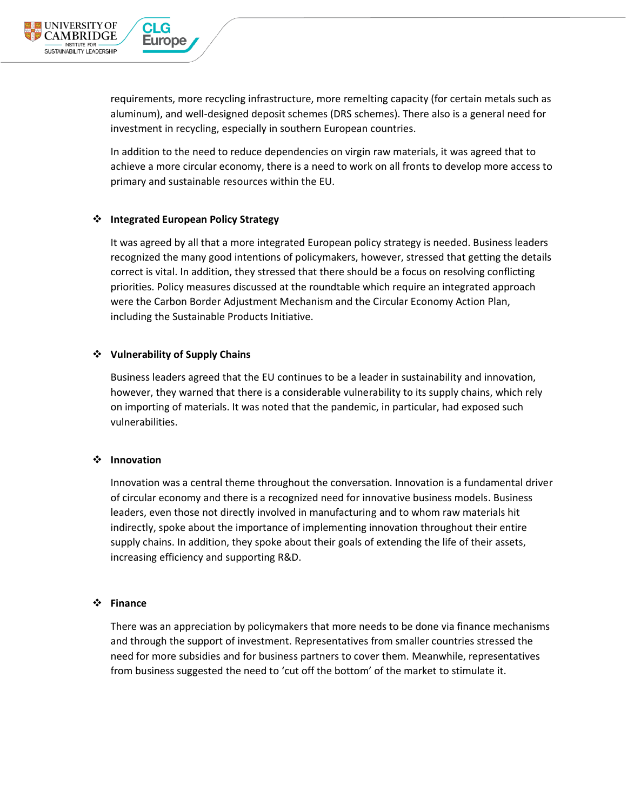

requirements, more recycling infrastructure, more remelting capacity (for certain metals such as aluminum), and well-designed deposit schemes (DRS schemes). There also is a general need for investment in recycling, especially in southern European countries.

In addition to the need to reduce dependencies on virgin raw materials, it was agreed that to achieve a more circular economy, there is a need to work on all fronts to develop more access to primary and sustainable resources within the EU.

#### ❖ **Integrated European Policy Strategy**

It was agreed by all that a more integrated European policy strategy is needed. Business leaders recognized the many good intentions of policymakers, however, stressed that getting the details correct is vital. In addition, they stressed that there should be a focus on resolving conflicting priorities. Policy measures discussed at the roundtable which require an integrated approach were the Carbon Border Adjustment Mechanism and the Circular Economy Action Plan, including the Sustainable Products Initiative.

#### ❖ **Vulnerability of Supply Chains**

Business leaders agreed that the EU continues to be a leader in sustainability and innovation, however, they warned that there is a considerable vulnerability to its supply chains, which rely on importing of materials. It was noted that the pandemic, in particular, had exposed such vulnerabilities.

#### ❖ **Innovation**

Innovation was a central theme throughout the conversation. Innovation is a fundamental driver of circular economy and there is a recognized need for innovative business models. Business leaders, even those not directly involved in manufacturing and to whom raw materials hit indirectly, spoke about the importance of implementing innovation throughout their entire supply chains. In addition, they spoke about their goals of extending the life of their assets, increasing efficiency and supporting R&D.

#### ❖ **Finance**

There was an appreciation by policymakers that more needs to be done via finance mechanisms and through the support of investment. Representatives from smaller countries stressed the need for more subsidies and for business partners to cover them. Meanwhile, representatives from business suggested the need to 'cut off the bottom' of the market to stimulate it.